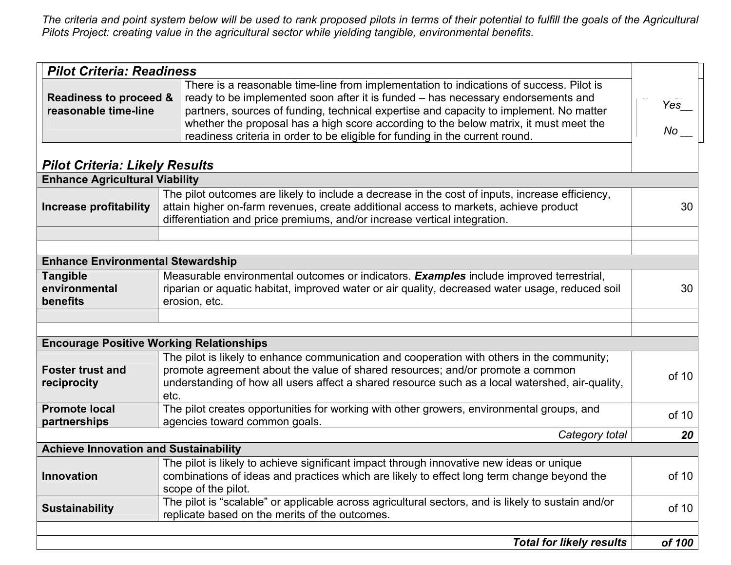*The criteria and point system below will be used to rank proposed pilots in terms of their potential to fulfill the goals of the Agricultural Pilots Project: creating value in the agricultural sector while yielding tangible, environmental benefits.* 

| <b>Pilot Criteria: Readiness</b>                |                                                                                                                                                                                                                                                                                                                                                                                                                                                |                           |
|-------------------------------------------------|------------------------------------------------------------------------------------------------------------------------------------------------------------------------------------------------------------------------------------------------------------------------------------------------------------------------------------------------------------------------------------------------------------------------------------------------|---------------------------|
| Readiness to proceed &<br>reasonable time-line  | There is a reasonable time-line from implementation to indications of success. Pilot is<br>ready to be implemented soon after it is funded - has necessary endorsements and<br>partners, sources of funding, technical expertise and capacity to implement. No matter<br>whether the proposal has a high score according to the below matrix, it must meet the<br>readiness criteria in order to be eligible for funding in the current round. | $Yes$ <sub>__</sub><br>No |
| <b>Pilot Criteria: Likely Results</b>           |                                                                                                                                                                                                                                                                                                                                                                                                                                                |                           |
| <b>Enhance Agricultural Viability</b>           |                                                                                                                                                                                                                                                                                                                                                                                                                                                |                           |
| <b>Increase profitability</b>                   | The pilot outcomes are likely to include a decrease in the cost of inputs, increase efficiency,<br>attain higher on-farm revenues, create additional access to markets, achieve product<br>differentiation and price premiums, and/or increase vertical integration.                                                                                                                                                                           | 30                        |
|                                                 |                                                                                                                                                                                                                                                                                                                                                                                                                                                |                           |
|                                                 |                                                                                                                                                                                                                                                                                                                                                                                                                                                |                           |
| <b>Enhance Environmental Stewardship</b>        |                                                                                                                                                                                                                                                                                                                                                                                                                                                |                           |
| <b>Tangible</b><br>environmental<br>benefits    | Measurable environmental outcomes or indicators. Examples include improved terrestrial,<br>riparian or aquatic habitat, improved water or air quality, decreased water usage, reduced soil<br>erosion, etc.                                                                                                                                                                                                                                    | 30                        |
|                                                 |                                                                                                                                                                                                                                                                                                                                                                                                                                                |                           |
|                                                 |                                                                                                                                                                                                                                                                                                                                                                                                                                                |                           |
| <b>Encourage Positive Working Relationships</b> |                                                                                                                                                                                                                                                                                                                                                                                                                                                |                           |
| <b>Foster trust and</b><br>reciprocity          | The pilot is likely to enhance communication and cooperation with others in the community;<br>promote agreement about the value of shared resources; and/or promote a common<br>understanding of how all users affect a shared resource such as a local watershed, air-quality,<br>etc.                                                                                                                                                        | of 10                     |
| <b>Promote local</b><br>partnerships            | The pilot creates opportunities for working with other growers, environmental groups, and<br>agencies toward common goals.                                                                                                                                                                                                                                                                                                                     | of 10                     |
|                                                 | Category total                                                                                                                                                                                                                                                                                                                                                                                                                                 | 20                        |
| <b>Achieve Innovation and Sustainability</b>    |                                                                                                                                                                                                                                                                                                                                                                                                                                                |                           |
| Innovation                                      | The pilot is likely to achieve significant impact through innovative new ideas or unique<br>combinations of ideas and practices which are likely to effect long term change beyond the<br>scope of the pilot.                                                                                                                                                                                                                                  | of 10                     |
| <b>Sustainability</b>                           | The pilot is "scalable" or applicable across agricultural sectors, and is likely to sustain and/or<br>replicate based on the merits of the outcomes.                                                                                                                                                                                                                                                                                           | of 10                     |
|                                                 | <b>Total for likely results</b>                                                                                                                                                                                                                                                                                                                                                                                                                | of 100                    |